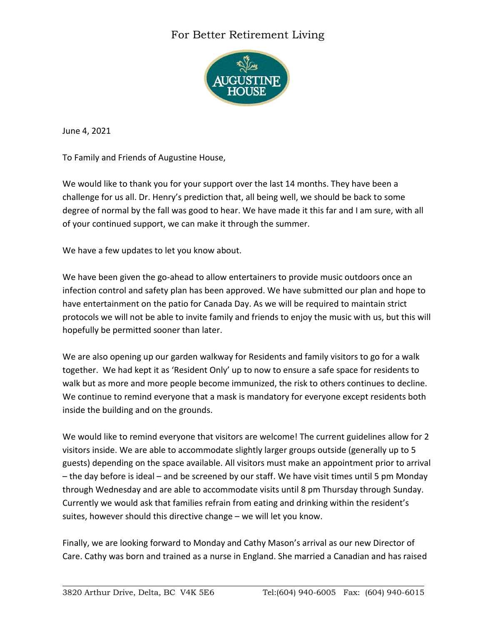## For Better Retirement Living



June 4, 2021

To Family and Friends of Augustine House,

We would like to thank you for your support over the last 14 months. They have been a challenge for us all. Dr. Henry's prediction that, all being well, we should be back to some degree of normal by the fall was good to hear. We have made it this far and I am sure, with all of your continued support, we can make it through the summer.

We have a few updates to let you know about.

We have been given the go-ahead to allow entertainers to provide music outdoors once an infection control and safety plan has been approved. We have submitted our plan and hope to have entertainment on the patio for Canada Day. As we will be required to maintain strict protocols we will not be able to invite family and friends to enjoy the music with us, but this will hopefully be permitted sooner than later.

We are also opening up our garden walkway for Residents and family visitors to go for a walk together. We had kept it as 'Resident Only' up to now to ensure a safe space for residents to walk but as more and more people become immunized, the risk to others continues to decline. We continue to remind everyone that a mask is mandatory for everyone except residents both inside the building and on the grounds.

We would like to remind everyone that visitors are welcome! The current guidelines allow for 2 visitors inside. We are able to accommodate slightly larger groups outside (generally up to 5 guests) depending on the space available. All visitors must make an appointment prior to arrival – the day before is ideal – and be screened by our staff. We have visit times until 5 pm Monday through Wednesday and are able to accommodate visits until 8 pm Thursday through Sunday. Currently we would ask that families refrain from eating and drinking within the resident's suites, however should this directive change – we will let you know.

Finally, we are looking forward to Monday and Cathy Mason's arrival as our new Director of Care. Cathy was born and trained as a nurse in England. She married a Canadian and has raised